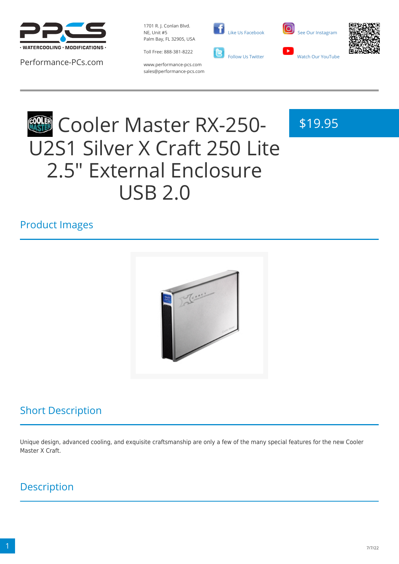

Performance-PCs.com

1701 R. J. Conlan Blvd. NE, Unit #5 Palm Bay, FL 32905, USA

Toll Free: 888-381-8222





\$19.95



www.performance-pcs.com sales@performance-pcs.com

# **COOLER Master RX-250-**U2S1 Silver X Craft 250 Lite 2.5" External Enclosure USB 2.0

#### Product Images



## Short Description

Unique design, advanced cooling, and exquisite craftsmanship are only a few of the many special features for the new Cooler Master X Craft.

### **Description**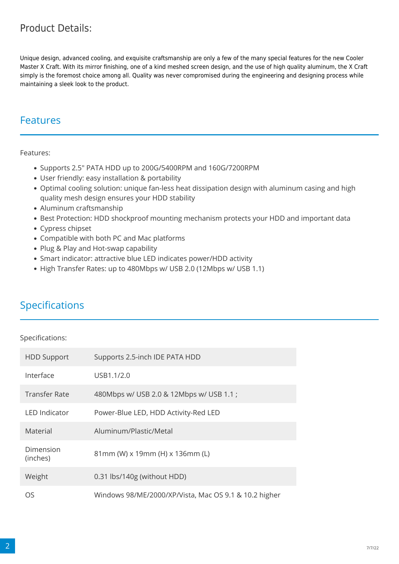#### Product Details:

Unique design, advanced cooling, and exquisite craftsmanship are only a few of the many special features for the new Cooler Master X Craft. With its mirror finishing, one of a kind meshed screen design, and the use of high quality aluminum, the X Craft simply is the foremost choice among all. Quality was never compromised during the engineering and designing process while maintaining a sleek look to the product.

#### Features

Features:

- Supports 2.5" PATA HDD up to 200G/5400RPM and 160G/7200RPM
- User friendly: easy installation & portability
- Optimal cooling solution: unique fan-less heat dissipation design with aluminum casing and high quality mesh design ensures your HDD stability
- Aluminum craftsmanship
- Best Protection: HDD shockproof mounting mechanism protects your HDD and important data
- Cypress chipset
- Compatible with both PC and Mac platforms
- Plug & Play and Hot-swap capability
- Smart indicator: attractive blue LED indicates power/HDD activity
- High Transfer Rates: up to 480Mbps w/ USB 2.0 (12Mbps w/ USB 1.1)

#### Specifications

Specifications:

| <b>HDD Support</b>    | Supports 2.5-inch IDE PATA HDD                        |
|-----------------------|-------------------------------------------------------|
| Interface             | USB1.1/2.0                                            |
| <b>Transfer Rate</b>  | 480Mbps w/ USB 2.0 & 12Mbps w/ USB 1.1;               |
| <b>LED Indicator</b>  | Power-Blue LED, HDD Activity-Red LED                  |
| Material              | Aluminum/Plastic/Metal                                |
| Dimension<br>(inches) | 81mm (W) x 19mm (H) x 136mm (L)                       |
| Weight                | 0.31 lbs/140g (without HDD)                           |
| OS                    | Windows 98/ME/2000/XP/Vista, Mac OS 9.1 & 10.2 higher |